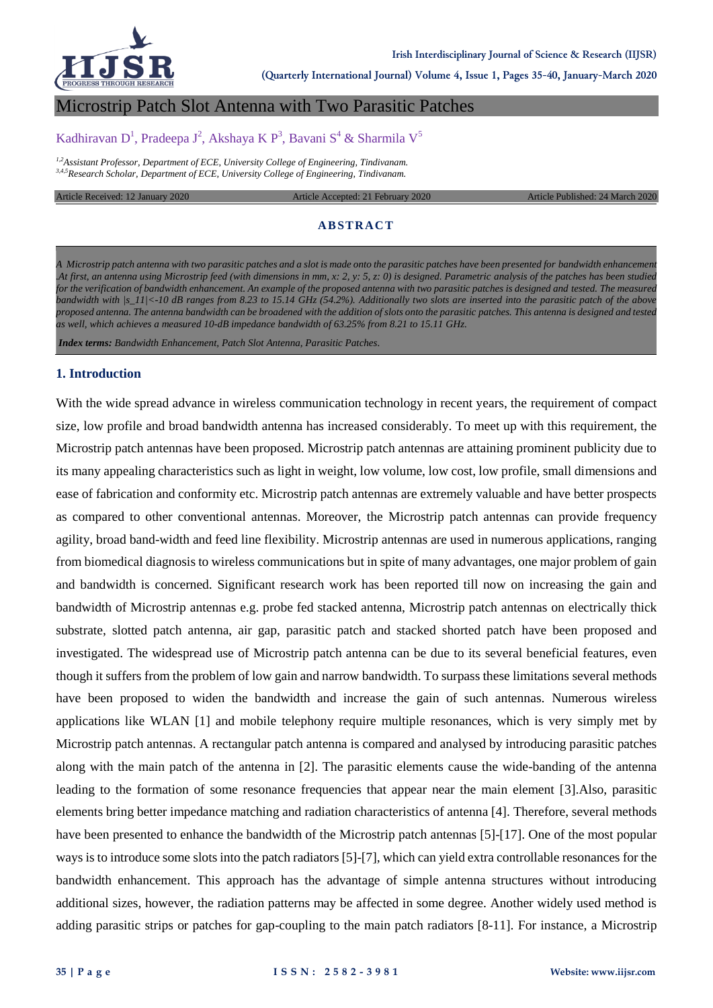

**(Quarterly International Journal) Volume 4, Issue 1, Pages 35-40, January-March 2020**

## Microstrip Patch Slot Antenna with Two Parasitic Patches

# Kadhiravan D<sup>1</sup>, Pradeepa J<sup>2</sup>, Akshaya K P<sup>3</sup>, Bavani S<sup>4</sup> & Sharmila V<sup>5</sup>

*1,2Assistant Professor, Department of ECE, University College of Engineering, Tindivanam. 3,4,5Research Scholar, Department of ECE, University College of Engineering, Tindivanam.*

Article Received: 12 January 2020 Article Accepted: 21 February 2020 Article Published: 24 March 2020

### **ABSTRACT**

*A Microstrip patch antenna with two parasitic patches and a slot is made onto the parasitic patches have been presented for bandwidth enhancement .At first, an antenna using Microstrip feed (with dimensions in mm, x: 2, y: 5, z: 0) is designed. Parametric analysis of the patches has been studied*  for the verification of bandwidth enhancement. An example of the proposed antenna with two parasitic patches is designed and tested. The measured *bandwidth with |s\_11|<-10 dB ranges from 8.23 to 15.14 GHz (54.2%). Additionally two slots are inserted into the parasitic patch of the above proposed antenna. The antenna bandwidth can be broadened with the addition of slots onto the parasitic patches. This antenna is designed and tested as well, which achieves a measured 10-dB impedance bandwidth of 63.25% from 8.21 to 15.11 GHz.*

*Index terms: Bandwidth Enhancement, Patch Slot Antenna, Parasitic Patches.*

#### **1. Introduction**

With the wide spread advance in wireless communication technology in recent years, the requirement of compact size, low profile and broad bandwidth antenna has increased considerably. To meet up with this requirement, the Microstrip patch antennas have been proposed. Microstrip patch antennas are attaining prominent publicity due to its many appealing characteristics such as light in weight, low volume, low cost, low profile, small dimensions and ease of fabrication and conformity etc. Microstrip patch antennas are extremely valuable and have better prospects as compared to other conventional antennas. Moreover, the Microstrip patch antennas can provide frequency agility, broad band-width and feed line flexibility. Microstrip antennas are used in numerous applications, ranging from biomedical diagnosis to wireless communications but in spite of many advantages, one major problem of gain and bandwidth is concerned. Significant research work has been reported till now on increasing the gain and bandwidth of Microstrip antennas e.g. probe fed stacked antenna, Microstrip patch antennas on electrically thick substrate, slotted patch antenna, air gap, parasitic patch and stacked shorted patch have been proposed and investigated. The widespread use of Microstrip patch antenna can be due to its several beneficial features, even though it suffers from the problem of low gain and narrow bandwidth. To surpass these limitations several methods have been proposed to widen the bandwidth and increase the gain of such antennas. Numerous wireless applications like WLAN [1] and mobile telephony require multiple resonances, which is very simply met by Microstrip patch antennas. A rectangular patch antenna is compared and analysed by introducing parasitic patches along with the main patch of the antenna in [2]. The parasitic elements cause the wide-banding of the antenna leading to the formation of some resonance frequencies that appear near the main element [3].Also, parasitic elements bring better impedance matching and radiation characteristics of antenna [4]. Therefore, several methods have been presented to enhance the bandwidth of the Microstrip patch antennas [5]-[17]. One of the most popular ways is to introduce some slots into the patch radiators [5]-[7], which can yield extra controllable resonances for the bandwidth enhancement. This approach has the advantage of simple antenna structures without introducing additional sizes, however, the radiation patterns may be affected in some degree. Another widely used method is adding parasitic strips or patches for gap-coupling to the main patch radiators [8-11]. For instance, a Microstrip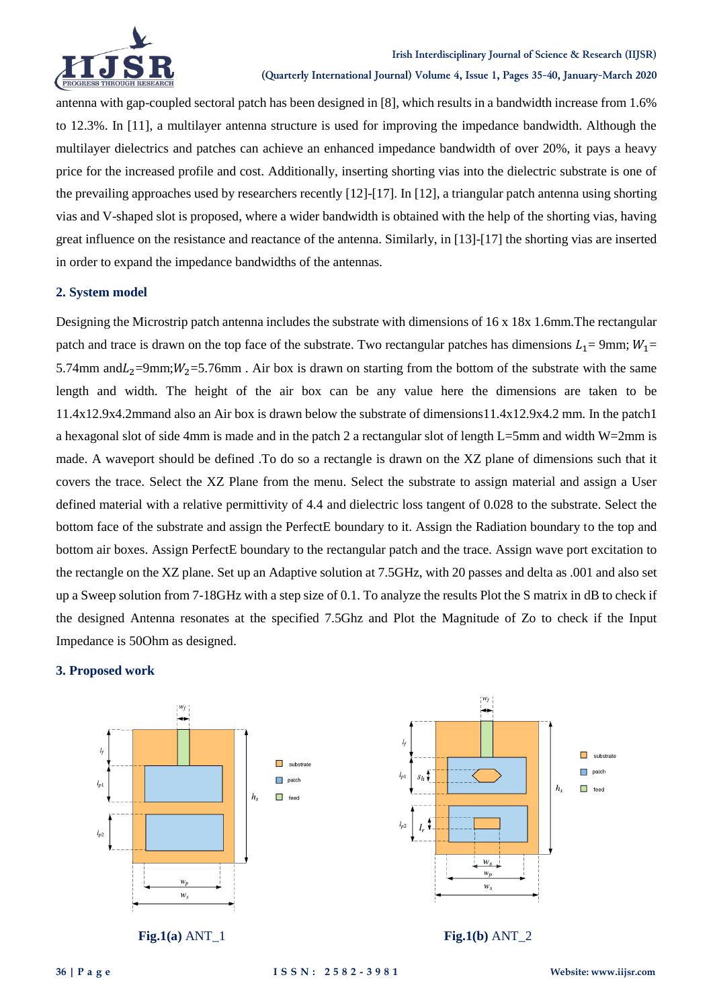

antenna with gap-coupled sectoral patch has been designed in [8], which results in a bandwidth increase from 1.6% to 12.3%. In [11], a multilayer antenna structure is used for improving the impedance bandwidth. Although the multilayer dielectrics and patches can achieve an enhanced impedance bandwidth of over 20%, it pays a heavy price for the increased profile and cost. Additionally, inserting shorting vias into the dielectric substrate is one of the prevailing approaches used by researchers recently  $[12]-[17]$ . In [12], a triangular patch antenna using shorting vias and V-shaped slot is proposed, where a wider bandwidth is obtained with the help of the shorting vias, having great influence on the resistance and reactance of the antenna. Similarly, in [13]-[17] the shorting vias are inserted in order to expand the impedance bandwidths of the antennas.

## **2. System model**

Designing the Microstrip patch antenna includes the substrate with dimensions of 16 x 18x 1.6mm.The rectangular patch and trace is drawn on the top face of the substrate. Two rectangular patches has dimensions  $L_1 = 9$ mm;  $W_1 =$ 5.74mm and  $L_2$ =9mm;  $W_2$ =5.76mm. Air box is drawn on starting from the bottom of the substrate with the same length and width. The height of the air box can be any value here the dimensions are taken to be 11.4x12.9x4.2mmand also an Air box is drawn below the substrate of dimensions11.4x12.9x4.2 mm. In the patch1 a hexagonal slot of side 4mm is made and in the patch 2 a rectangular slot of length L=5mm and width W=2mm is made. A waveport should be defined .To do so a rectangle is drawn on the XZ plane of dimensions such that it covers the trace. Select the XZ Plane from the menu. Select the substrate to assign material and assign a User defined material with a relative permittivity of 4.4 and dielectric loss tangent of 0.028 to the substrate. Select the bottom face of the substrate and assign the PerfectE boundary to it. Assign the Radiation boundary to the top and bottom air boxes. Assign PerfectE boundary to the rectangular patch and the trace. Assign wave port excitation to the rectangle on the XZ plane. Set up an Adaptive solution at 7.5GHz, with 20 passes and delta as .001 and also set up a Sweep solution from 7-18GHz with a step size of 0.1. To analyze the results Plot the S matrix in dB to check if the designed Antenna resonates at the specified 7.5Ghz and Plot the Magnitude of Zo to check if the Input Impedance is 50Ohm as designed.

#### **3. Proposed work**



**Fig.1(a)** ANT\_1 **Fig.1(b)** ANT\_2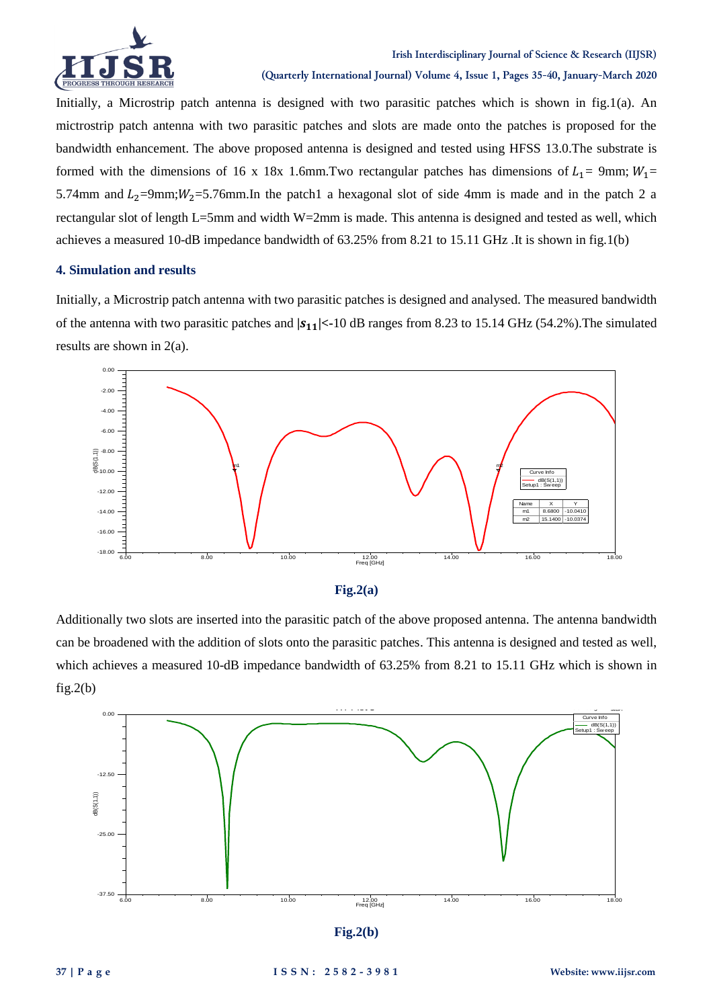

Initially, a Microstrip patch antenna is designed with two parasitic patches which is shown in fig.1(a). An mictrostrip patch antenna with two parasitic patches and slots are made onto the patches is proposed for the bandwidth enhancement. The above proposed antenna is designed and tested using HFSS 13.0.The substrate is formed with the dimensions of 16 x 18x 1.6mm. Two rectangular patches has dimensions of  $L_1$  = 9mm;  $W_1$  = 5.74mm and  $L_2$ =9mm;  $W_2$ =5.76mm. In the patch1 a hexagonal slot of side 4mm is made and in the patch 2 a rectangular slot of length L=5mm and width W=2mm is made. This antenna is designed and tested as well, which achieves a measured 10-dB impedance bandwidth of 63.25% from 8.21 to 15.11 GHz .It is shown in fig.1(b)

### **4. Simulation and results**

Initially, a Microstrip patch antenna with two parasitic patches is designed and analysed. The measured bandwidth of the antenna with two parasitic patches and **| |<-**10 dB ranges from 8.23 to 15.14 GHz (54.2%).The simulated results are shown in 2(a).





Additionally two slots are inserted into the parasitic patch of the above proposed antenna. The antenna bandwidth can be broadened with the addition of slots onto the parasitic patches. This antenna is designed and tested as well, which achieves a measured 10-dB impedance bandwidth of 63.25% from 8.21 to 15.11 GHz which is shown in  $fig.2(b)$ 



**Fig.2(b)**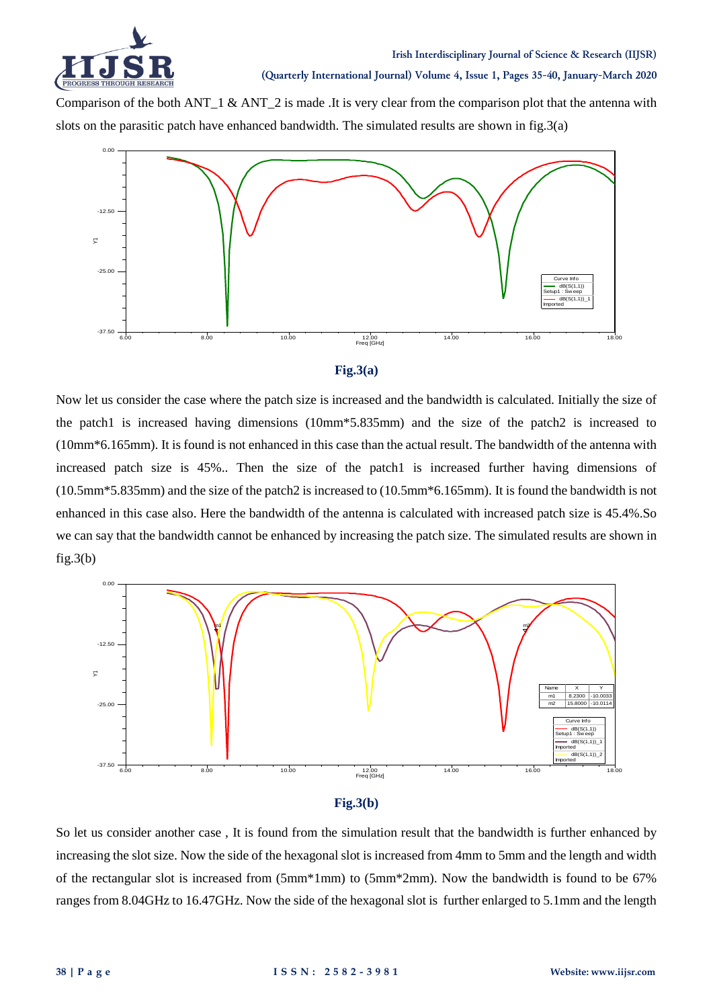

**(Quarterly International Journal) Volume 4, Issue 1, Pages 35-40, January-March 2020**

Comparison of the both ANT  $\overline{1}$  & ANT  $\overline{2}$  is made .It is very clear from the comparison plot that the antenna with slots on the parasitic patch have enhanced bandwidth. The simulated results are shown in fig.3(a)





Now let us consider the case where the patch size is increased and the bandwidth is calculated. Initially the size of the patch1 is increased having dimensions (10mm\*5.835mm) and the size of the patch2 is increased to (10mm\*6.165mm). It is found is not enhanced in this case than the actual result. The bandwidth of the antenna with increased patch size is 45%.. Then the size of the patch1 is increased further having dimensions of (10.5mm\*5.835mm) and the size of the patch2 is increased to (10.5mm\*6.165mm). It is found the bandwidth is not enhanced in this case also. Here the bandwidth of the antenna is calculated with increased patch size is 45.4%.So we can say that the bandwidth cannot be enhanced by increasing the patch size. The simulated results are shown in  $fig.3(b)$ 





So let us consider another case , It is found from the simulation result that the bandwidth is further enhanced by increasing the slot size. Now the side of the hexagonal slot is increased from 4mm to 5mm and the length and width of the rectangular slot is increased from (5mm\*1mm) to (5mm\*2mm). Now the bandwidth is found to be 67% ranges from 8.04GHz to 16.47GHz. Now the side of the hexagonal slot is further enlarged to 5.1mm and the length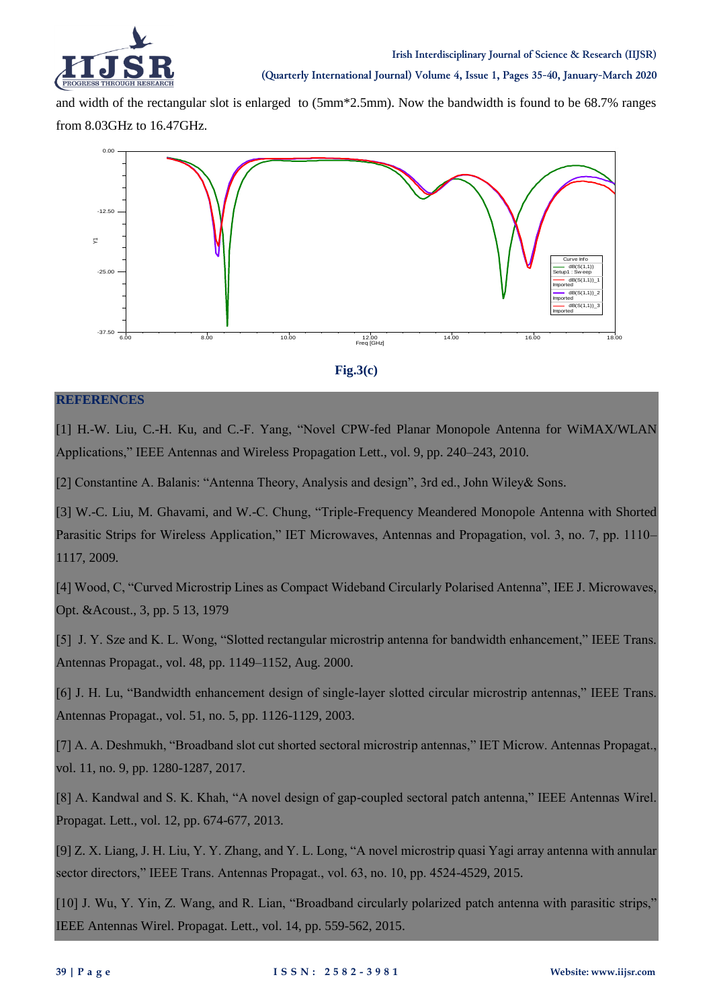

and width of the rectangular slot is enlarged to (5mm\*2.5mm). Now the bandwidth is found to be 68.7% ranges from 8.03GHz to 16.47GHz.





# **REFERENCES**

[1] H.-W. Liu, C.-H. Ku, and C.-F. Yang, "Novel CPW-fed Planar Monopole Antenna for WiMAX/WLAN Applications," IEEE Antennas and Wireless Propagation Lett., vol. 9, pp. 240–243, 2010.

[2] Constantine A. Balanis: "Antenna Theory, Analysis and design", 3rd ed., John Wiley& Sons.

[3] W.-C. Liu, M. Ghavami, and W.-C. Chung, "Triple-Frequency Meandered Monopole Antenna with Shorted Parasitic Strips for Wireless Application," IET Microwaves, Antennas and Propagation, vol. 3, no. 7, pp. 1110– 1117, 2009.

[4] Wood, C, "Curved Microstrip Lines as Compact Wideband Circularly Polarised Antenna", IEE J. Microwaves, Opt. &Acoust., 3, pp. 5 13, 1979

[5] J. Y. Sze and K. L. Wong, "Slotted rectangular microstrip antenna for bandwidth enhancement," IEEE Trans. Antennas Propagat., vol. 48, pp. 1149–1152, Aug. 2000.

[6] J. H. Lu, "Bandwidth enhancement design of single-layer slotted circular microstrip antennas," IEEE Trans. Antennas Propagat., vol. 51, no. 5, pp. 1126-1129, 2003.

[7] A. A. Deshmukh, "Broadband slot cut shorted sectoral microstrip antennas," IET Microw. Antennas Propagat., vol. 11, no. 9, pp. 1280-1287, 2017.

[8] A. Kandwal and S. K. Khah, "A novel design of gap-coupled sectoral patch antenna," IEEE Antennas Wirel. Propagat. Lett., vol. 12, pp. 674-677, 2013.

[9] Z. X. Liang, J. H. Liu, Y. Y. Zhang, and Y. L. Long, "A novel microstrip quasi Yagi array antenna with annular sector directors," IEEE Trans. Antennas Propagat., vol. 63, no. 10, pp. 4524-4529, 2015.

[10] J. Wu, Y. Yin, Z. Wang, and R. Lian, "Broadband circularly polarized patch antenna with parasitic strips," IEEE Antennas Wirel. Propagat. Lett., vol. 14, pp. 559-562, 2015.